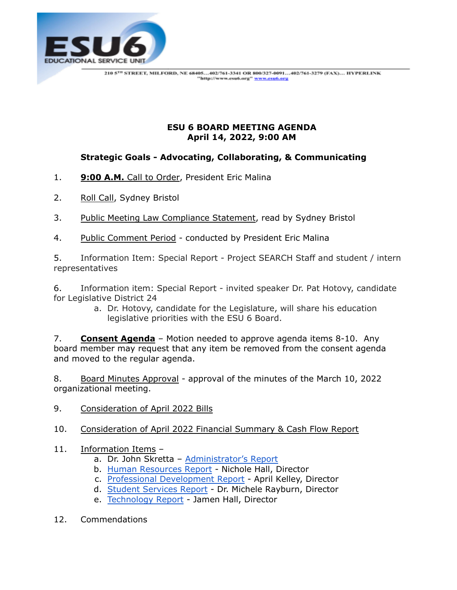

## **ESU 6 BOARD MEETING AGENDA April 14, 2022, 9:00 AM**

## **Strategic Goals - Advocating, Collaborating, & Communicating**

- 1. **9:00 A.M.** Call to Order, President Eric Malina
- 2. Roll Call, Sydney Bristol
- 3. Public Meeting Law Compliance Statement, read by Sydney Bristol
- 4. Public Comment Period conducted by President Eric Malina

5. Information Item: Special Report - Project SEARCH Staff and student / intern representatives

6. Information item: Special Report - invited speaker Dr. Pat Hotovy, candidate for Legislative District 24

a. Dr. Hotovy, candidate for the Legislature, will share his education legislative priorities with the ESU 6 Board.

7. **Consent Agenda** – Motion needed to approve agenda items 8-10. Any board member may request that any item be removed from the consent agenda and moved to the regular agenda.

8. Board Minutes Approval - approval of the minutes of the March 10, 2022 organizational meeting.

- 9. Consideration of April 2022 Bills
- 10. Consideration of April 2022 Financial Summary & Cash Flow Report
- 11. Information Items
	- a. Dr. John Skretta [Administrator's Report](https://docs.google.com/document/d/1vqfqP49676aFckCRdZdr5lj5hwOVPwhPu163WU46FmM/edit)
	- b. [Human Resources Report](https://docs.google.com/document/d/1uFCfHpP3L2_NQw5QJmDFrgf_3JypQPXiDUDRYcNEvn0/edit) Nichole Hall, Director
	- c. [Professional Development Report](https://drive.google.com/file/d/1oglPXdJpd4zirJqpzmuTMUvieHkeUD3r/view) April Kelley, Director
	- d. [Student Services Report](https://docs.google.com/document/d/1Y7PUN4wFIuXyQ_Du_gqecbkoXYwxb48syFtEXKr5G7I/edit?usp=sharing) Dr. Michele Rayburn, Director
	- e. [Technology Report](https://docs.google.com/document/d/1DX0d4128hsPEBCFLp39xToDOFQN9tLBbg5vzZeHjjh8/edit) Jamen Hall, Director
- 12. Commendations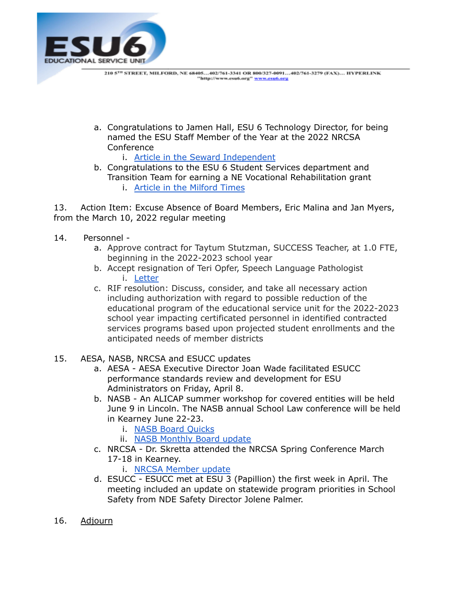

a. Congratulations to Jamen Hall, ESU 6 Technology Director, for being named the ESU Staff Member of the Year at the 2022 NRCSA **Conference** 

i. Article in the Seward [Independent](https://drive.google.com/file/d/1UIGVL45GZ_UpvV15aXRGqSOzH6OiF1UJ/view?usp=sharing)

b. Congratulations to the ESU 6 Student Services department and Transition Team for earning a NE Vocational Rehabilitation grant i. Article in the [Milford](https://drive.google.com/file/d/1H7Yt7eg4qC6TjMHhunss13c3NOekXm0p/view?usp=sharing) Times

13. Action Item: Excuse Absence of Board Members, Eric Malina and Jan Myers, from the March 10, 2022 regular meeting

- 14. Personnel
	- a. Approve contract for Taytum Stutzman, SUCCESS Teacher, at 1.0 FTE, beginning in the 2022-2023 school year
	- b. Accept resignation of Teri Opfer, Speech Language Pathologist i. [Letter](https://drive.google.com/file/d/1C-k7VWX3pzgCEosJPv66VI7BCFgDT9jz/view?usp=sharing)
	- c. RIF resolution: Discuss, consider, and take all necessary action including authorization with regard to possible reduction of the educational program of the educational service unit for the 2022-2023 school year impacting certificated personnel in identified contracted services programs based upon projected student enrollments and the anticipated needs of member districts
- 15. AESA, NASB, NRCSA and ESUCC updates
	- a. AESA AESA Executive Director Joan Wade facilitated ESUCC performance standards review and development for ESU Administrators on Friday, April 8.
	- b. NASB An ALICAP summer workshop for covered entities will be held June 9 in Lincoln. The NASB annual School Law conference will be held in Kearney June 22-23.
		- i. NASB Board [Quicks](https://nasb.enviseams.com/docs/default-source/board-quicks/board-quicks---april-20222877db62-cc48-4646-9113-e44a38806853.pdf?sfvrsn=3b2d09e1_5&fbclid=IwAR21Ks57EGnYrVLOh1TzIW83P_tTC1jG4q2PRueEYWyYkH7DeUePTXC8Dac)
		- ii. NASB [Monthly](https://docs.google.com/document/d/19ISha7oo1__yie8hRmxBJuw10t-bEf5KbybW_CapfBI/edit?usp=sharing) Board update
	- c. NRCSA Dr. Skretta attended the NRCSA Spring Conference March 17-18 in Kearney.
		- i. NRCSA [Member](https://drive.google.com/file/d/1iT0GtBKr7FFQ80Jb8IeChTw1FlGrEgYl/view) update
	- d. ESUCC ESUCC met at ESU 3 (Papillion) the first week in April. The meeting included an update on statewide program priorities in School Safety from NDE Safety Director Jolene Palmer.
- 16. Adjourn